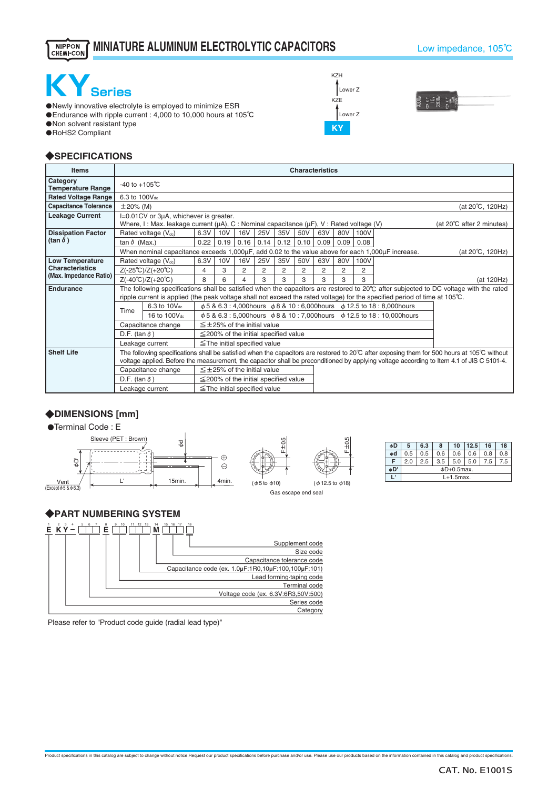#### **MINIATURE ALUMINUM ELECTROLYTIC CAPACITORS**NIPPON<br>CHEMI-CON

#### Low impedance, 105℃



・Newly innovative electrolyte is employed to minimize ESR ・Endurance with ripple current : 4,000 to 10,000 hours at 105℃

・Non solvent resistant type

・RoHS2 Compliant

## ◆**SPECIFICATIONS**

| <b>Items</b>                         | <b>Characteristics</b>                                                                                                                                          |                                                                                                                                              |                                                                                                                                                 |      |                                            |      |      |      |      |      |      |                                     |                 |
|--------------------------------------|-----------------------------------------------------------------------------------------------------------------------------------------------------------------|----------------------------------------------------------------------------------------------------------------------------------------------|-------------------------------------------------------------------------------------------------------------------------------------------------|------|--------------------------------------------|------|------|------|------|------|------|-------------------------------------|-----------------|
| Category<br><b>Temperature Range</b> |                                                                                                                                                                 | $-40$ to $+105^{\circ}$ C                                                                                                                    |                                                                                                                                                 |      |                                            |      |      |      |      |      |      |                                     |                 |
| <b>Rated Voltage Range</b>           |                                                                                                                                                                 | 6.3 to 100V <sub>dc</sub>                                                                                                                    |                                                                                                                                                 |      |                                            |      |      |      |      |      |      |                                     |                 |
| <b>Capacitance Tolerance</b>         |                                                                                                                                                                 | $\pm 20\%$ (M)<br>(at 20°C, 120Hz)                                                                                                           |                                                                                                                                                 |      |                                            |      |      |      |      |      |      |                                     |                 |
| <b>Leakage Current</b>               |                                                                                                                                                                 | I=0.01CV or 3µA, whichever is greater.<br>Where, I: Max. leakage current ( $\mu$ A), C: Nominal capacitance ( $\mu$ F), V: Rated voltage (V) |                                                                                                                                                 |      |                                            |      |      |      |      |      |      | (at $20^{\circ}$ C after 2 minutes) |                 |
| <b>Dissipation Factor</b>            |                                                                                                                                                                 | Rated voltage (Vdc)                                                                                                                          | 6.3V                                                                                                                                            | 10V  | <b>16V</b>                                 | 25V  | 35V  | 50V  | 63V  | 80V  | 100V |                                     |                 |
| $(\tan \delta)$                      | tan $\delta$ (Max.)                                                                                                                                             |                                                                                                                                              | 0.22                                                                                                                                            | 0.19 | 0.16                                       | 0.14 | 0.12 | 0.10 | 0.09 | 0.09 | 0.08 |                                     |                 |
|                                      |                                                                                                                                                                 | When nominal capacitance exceeds 1,000µF, add 0.02 to the value above for each 1,000µF increase.                                             |                                                                                                                                                 |      |                                            |      |      |      |      |      |      |                                     | (at 20℃, 120Hz) |
| <b>Low Temperature</b>               |                                                                                                                                                                 | Rated voltage (Vdc)                                                                                                                          | 6.3V                                                                                                                                            | 10V  | <b>16V</b>                                 | 25V  | 35V  | 50V  | 63V  | 80V  | 100V |                                     |                 |
| <b>Characteristics</b>               | $Z(-25^{\circ}C)/Z(+20^{\circ}C)$                                                                                                                               | 4                                                                                                                                            | 3                                                                                                                                               | 2    | 2                                          | 2    | 2    | 2    | 2    | 2    |      |                                     |                 |
| (Max. Impedance Ratio)               | $Z(-40^{\circ}C)/Z(+20^{\circ}C)$                                                                                                                               | 8                                                                                                                                            | 6                                                                                                                                               |      | 3                                          | 3    | 3    | 3    | 3    | 3    |      | (at 120Hz)                          |                 |
| Endurance                            |                                                                                                                                                                 |                                                                                                                                              | The following specifications shall be satisfied when the capacitors are restored to $20^{\circ}$ C after subjected to DC voltage with the rated |      |                                            |      |      |      |      |      |      |                                     |                 |
|                                      |                                                                                                                                                                 |                                                                                                                                              | ripple current is applied (the peak voltage shall not exceed the rated voltage) for the specified period of time at 105°C.                      |      |                                            |      |      |      |      |      |      |                                     |                 |
|                                      | Time                                                                                                                                                            | 6.3 to 10V <sub>dc</sub>                                                                                                                     | φ 5 & 6.3 : 4,000 hours φ 8 & 10 : 6,000 hours φ 12.5 to 18 : 8,000 hours                                                                       |      |                                            |      |      |      |      |      |      |                                     |                 |
|                                      |                                                                                                                                                                 | 16 to 100Vdc                                                                                                                                 | $\phi$ 5 & 6.3 : 5,000 hours $\phi$ 8 & 10 : 7,000 hours $\phi$ 12.5 to 18 : 10,000 hours                                                       |      |                                            |      |      |      |      |      |      |                                     |                 |
|                                      |                                                                                                                                                                 | Capacitance change                                                                                                                           | $\leq$ +25% of the initial value                                                                                                                |      |                                            |      |      |      |      |      |      |                                     |                 |
|                                      | D.F. (tan $\delta$ )<br>$\leq$ 200% of the initial specified value                                                                                              |                                                                                                                                              |                                                                                                                                                 |      |                                            |      |      |      |      |      |      |                                     |                 |
|                                      | $\leq$ The initial specified value<br>Leakage current                                                                                                           |                                                                                                                                              |                                                                                                                                                 |      |                                            |      |      |      |      |      |      |                                     |                 |
| <b>Shelf Life</b>                    | The following specifications shall be satisfied when the capacitors are restored to 20 $\degree$ C after exposing them for 500 hours at 105 $\degree$ C without |                                                                                                                                              |                                                                                                                                                 |      |                                            |      |      |      |      |      |      |                                     |                 |
|                                      |                                                                                                                                                                 | voltage applied. Before the measurement, the capacitor shall be preconditioned by applying voltage according to Item 4.1 of JIS C 5101-4.    |                                                                                                                                                 |      |                                            |      |      |      |      |      |      |                                     |                 |
|                                      |                                                                                                                                                                 | Capacitance change                                                                                                                           |                                                                                                                                                 |      | $\leq \pm 25$ % of the initial value       |      |      |      |      |      |      |                                     |                 |
|                                      | D.F. (tan $\delta$ )                                                                                                                                            |                                                                                                                                              |                                                                                                                                                 |      | $\leq$ 200% of the initial specified value |      |      |      |      |      |      |                                     |                 |
|                                      |                                                                                                                                                                 | Leakage current                                                                                                                              |                                                                                                                                                 |      | $\le$ The initial specified value          |      |      |      |      |      |      |                                     |                 |

F±0.5

Gas escape end seal

(φ5 to φ10)

 $F\pm0.5$ 

(φ12.5 to φ18)

# ◆**DIMENSIONS [mm]**

●Terminal Code: E



## ◆**PART NUMBERING SYSTEM**



Please refer to "Product code guide (radial lead type)"





| 0.6<br>0.8<br>0.8<br>0.6<br>0.5<br>0.6<br>0.5<br>ød<br>F<br>3.5<br>2.5<br>5.0<br>7.5<br>5.0<br>7.5<br>2.0<br>φD'<br>$\phi$ D+0.5max. | øD | 5 | 6.3 | 8 | 10 | 12.5 | 16 | 18 |  |  |
|--------------------------------------------------------------------------------------------------------------------------------------|----|---|-----|---|----|------|----|----|--|--|
|                                                                                                                                      |    |   |     |   |    |      |    |    |  |  |
|                                                                                                                                      |    |   |     |   |    |      |    |    |  |  |
|                                                                                                                                      |    |   |     |   |    |      |    |    |  |  |
| $L+1.5$ max.                                                                                                                         |    |   |     |   |    |      |    |    |  |  |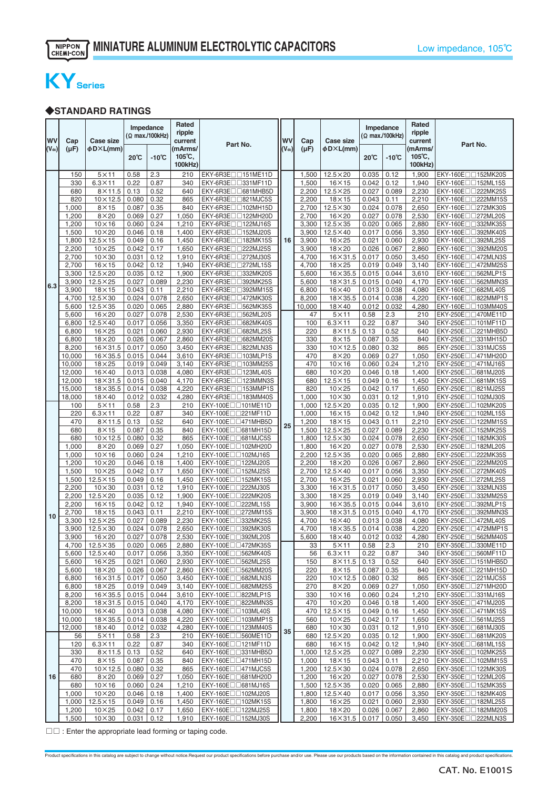# **KYSeries**

### ◆**STANDARD RATINGS**

| WV<br>$(\mathsf{V}_{\mathsf{dc}})$ | Cap<br>$(\mu F)$ | Case size<br>$\phi$ D $\times$ L(mm) |                | Impedance<br>(Ω max./100kHz) | Rated<br>ripple<br>current<br>(mArms/ | Part No.                                                        | <b>WV</b><br>$(V_{dc})$ | Cap<br>(µF)    | <b>Case size</b><br>φD×L(mm)     |                | Impedance<br>(Ω max./100kHz) | Rated<br>ripple<br>current<br>(mArms/<br>$105^{\circ}$ C, | Part No.                                       |
|------------------------------------|------------------|--------------------------------------|----------------|------------------------------|---------------------------------------|-----------------------------------------------------------------|-------------------------|----------------|----------------------------------|----------------|------------------------------|-----------------------------------------------------------|------------------------------------------------|
|                                    |                  |                                      | $20^{\circ}$ C | $-10^{\circ}$ C              | $105^{\circ}$ C,<br>100kHz)           |                                                                 |                         |                |                                  | $20^{\circ}$ C | $-10^{\circ}C$               | 100kHz)                                                   |                                                |
|                                    | 150              | $5\times11$                          | 0.58           | 2.3                          | 210                                   | EKY-6R3E <sub>[1151</sub> ME11D]                                |                         | 1,500          | $12.5\times20$                   | 0.035          | 0.12                         | 1,900                                                     | EKY-160E <sub>[1152</sub> MK20S]               |
|                                    | 330              | $6.3 \times 11$                      | 0.22           | 0.87                         | 340                                   | EKY-6R3E <sub>U331</sub> MF11D                                  |                         | 1,500          | $16 \times 15$                   | 0.042          | 0.12                         | 1,940                                                     | EKY-160E $\Box$ 152ML15S                       |
|                                    | 680              | $8\times11.5$                        | 0.13           | 0.52                         | 640                                   | EKY-6R3E <sub>10681</sub> MHB5D                                 |                         | 2,200          | $12.5\times25$                   | 0.027          | 0.089                        | 2,230                                                     | EKY-160E□□222MK25S                             |
|                                    | 820              | $10\times12.5$                       | 0.080          | 0.32                         | 865                                   | EKY-6R3E <sub>U</sub> B21MJC5S                                  |                         | 2,200          | $18\times15$                     | 0.043          | 0.11                         | 2,210                                                     | EKY-160E□□222MM15S                             |
|                                    | 1,000            | $8\times15$                          | 0.087          | 0.35                         | 840                                   | EKY-6R3E <sub>1102</sub> MH15D                                  |                         | 2,700          | $12.5\times30$                   | 0.024          | 0.078                        | 2,650                                                     | EKY-160E□□272MK30S                             |
|                                    | 1,200            | $8\times20$                          | 0.069          | 0.27                         | 1,050                                 | EKY-6R3E <sub>1122</sub> MH20D                                  |                         | 2,700          | $16\times20$                     | 0.027          | 0.078                        | 2,530                                                     | EKY-160E□□272ML20S                             |
|                                    | 1,200            | $10\times16$                         | 0.060          | 0.24                         | 1,210                                 | EKY-6R3E <sub>U122MJ16S</sub>                                   |                         | 3,300          | $12.5 \times 35$                 | 0.020          | 0.065                        | 2,880                                                     | EKY-160E□□332MK35S                             |
|                                    | 1,500            | $10\times20$                         | 0.046          | 0.18                         | 1,400                                 | EKY-6R3E <sub>1152MJ20S</sub>                                   |                         | 3,900          | $12.5 \times 40$                 | 0.017          | 0.056                        | 3,350                                                     | EKY-160E□□392MK40S                             |
|                                    | 1,800            | $12.5 \times 15$                     | 0.049          | 0.16<br>0.17                 | 1,450                                 | EKY-6R3E <sub>U</sub> 182MK15S                                  | 16                      | 3,900          | $16\times25$                     | 0.021<br>0.026 | 0.060<br>0.067               | 2,930                                                     | EKY-160E□□392ML25S                             |
|                                    | 2,200<br>2,700   | $10\times25$<br>$10\times30$         | 0.042<br>0.031 | 0.12                         | 1,650<br>1,910                        | EKY-6R3E <sub>1222MJ25S</sub><br>EKY-6R3E <sub>U</sub> 272MJ30S |                         | 3,900<br>4,700 | $18\times20$<br>$16\times31.5$   | 0.017          | 0.050                        | 2,860<br>3,450                                            | EKY-160E□□392MM20S<br>EKY-160E□□472MLN3S       |
|                                    | 2,700            | $16\times15$                         | 0.042          | 0.12                         | 1,940                                 | EKY-6R3E <sub>1272</sub> ML15S                                  |                         | 4,700          | $18\times25$                     | 0.019          | 0.049                        | 3,140                                                     | EKY-160E□□472MM25S                             |
|                                    | 3,300            | $12.5\times20$                       | 0.035          | 0.12                         | 1,900                                 | EKY-6R3EII332MK20S                                              |                         | 5,600          | $16\times35.5$                   | 0.015          | 0.044                        | 3,610                                                     | EKY-160E□□562MLP1S                             |
|                                    | 3,900            | $12.5\times25$                       | 0.027          | 0.089                        | 2,230                                 | EKY-6R3E <sub>D</sub> 392MK25S                                  |                         | 5,600          | $18\times31.5$                   | 0.015          | 0.040                        | 4,170                                                     | EKY-160E□□562MMN3S                             |
| 6.3                                | 3,900            | $18\times15$                         | 0.043          | 0.11                         | 2,210                                 | EKY-6R3E <sub>1392</sub> MM15S                                  |                         | 6,800          | $16\times40$                     | 0.013          | 0.038                        | 4,080                                                     | EKY-160E□□682ML40S                             |
|                                    | 4,700            | $12.5\times30$                       | 0.024          | 0.078                        | 2,650                                 | EKY-6R3E□□472MK30S                                              |                         | 8,200          | $18\times35.5$                   | 0.014          | 0.038                        | 4,220                                                     | EKY-160E□□822MMP1S                             |
|                                    | 5,600            | $12.5\times35$                       | 0.020          | 0.065                        | 2,880                                 | EKY-6R3E <sub>1362</sub> MK35S                                  |                         | 10,000         | $18\times40$                     | 0.012          | 0.032                        | 4,280                                                     | EKY-160E□□103MM40S                             |
|                                    | 5,600            | $16\times20$                         | 0.027          | 0.078                        | 2,530                                 | EKY-6R3E <sub>U</sub> S62ML20S                                  |                         | 47             | $5 \times 11$                    | 0.58           | 2.3                          | 210                                                       | EKY-250E□□470ME11D                             |
|                                    | 6,800            | $12.5 \times 40$                     | 0.017          | 0.056                        | 3,350                                 | EKY-6R3E <sub>10682</sub> MK40S                                 |                         | 100            | $6.3 \times 11$                  | 0.22           | 0.87                         | 340                                                       | EKY-250E□□101MF11D                             |
|                                    | 6,800            | $16\times25$                         | 0.021          | 0.060                        | 2,930                                 | EKY-6R3E <sub>U0682</sub> ML25S                                 |                         | 220            | $8\times11.5$                    | 0.13           | 0.52                         | 640                                                       | EKY-250E□□221MHB5D                             |
|                                    | 6,800            | $18\times20$                         | 0.026          | 0.067                        | 2,860                                 | EKY-6R3E <sub>10682</sub> MM20S                                 |                         | 330            | $8\times15$                      | 0.087          | 0.35                         | 840                                                       | EKY-250E <sub>[1</sub> ]331MH15D               |
|                                    | 8,200            | $16 \times 31.5$                     | 0.017          | 0.050                        | 3,450                                 | EKY-6R3EII 322MLN3S                                             |                         | 330            | $10 \times 12.5$                 | 0.080          | 0.32                         | 865                                                       | EKY-250E□□331MJC5S                             |
|                                    | 10,000           | $16\times35.5$                       | 0.015          | 0.044                        | 3,610                                 | EKY-6R3E <sub>[103MLP1S</sub>                                   |                         | 470            | $8\times20$                      | 0.069          | 0.27                         | 1,050                                                     | EKY-250E□□471MH20D                             |
|                                    | 10,000           | $18\times25$                         | 0.019          | 0.049                        | 3,140                                 | EKY-6R3E <sub>1103</sub> MM25S                                  |                         | 470            | $10\times16$                     | 0.060          | 0.24                         | 1,210                                                     | EKY-250E□□471MJ16S                             |
|                                    | 12,000           | $16\times40$                         | 0.013          | 0.038                        | 4,080                                 | EKY-6R3E <sub>U123ML40S</sub>                                   |                         | 680            | $10\times 20$                    | 0.046          | 0.18                         | 1,400                                                     | EKY-250E <sub>10681</sub> MJ20S                |
|                                    | 12,000           | $18\times31.5$                       | 0.015          | 0.040                        | 4,170                                 | EKY-6R3E <sub>1123</sub> MMN3S                                  |                         | 680            | $12.5 \times 15$                 | 0.049          | 0.16                         | 1,450                                                     | EKY-250E□□681MK15S                             |
|                                    | 15,000           | $18\times35.5$                       | 0.014          | 0.038                        | 4,220                                 | EKY-6R3E <sub>U</sub> 153MMP1S                                  |                         | 820            | $10\times25$                     | 0.042          | 0.17                         | 1,650                                                     | EKY-250E□□821MJ25S                             |
|                                    | 18,000           | $18\times40$                         | 0.012          | 0.032                        | 4,280                                 | EKY-6R3E <sub>1133</sub> MM40S                                  |                         | 1,000          | $10\times30$                     | 0.031          | 0.12                         | 1,910                                                     | EKY-250E□□102MJ30S                             |
|                                    | 100              | $5 \times 11$                        | 0.58           | 2.3                          | 210                                   | EKY-100E $\Box$ 101ME11D                                        |                         | 1,000          | $12.5\times20$                   | 0.035          | 0.12                         | 1,900                                                     | EKY-250E□□102MK20S                             |
|                                    | 220              | $6.3 \times 11$                      | 0.22           | 0.87                         | 340                                   | EKY-100E <sub>[1221</sub> MF11D]                                |                         | 1,000          | $16\times15$                     | 0.042          | 0.12                         | 1,940                                                     | EKY-250E□□102ML15S                             |
|                                    | 470<br>680       | $8\times11.5$<br>$8\times15$         | 0.13<br>0.087  | 0.52<br>0.35                 | 640<br>840                            | EKY-100E <sub>U</sub> 471MHB5D<br>EKY-100E□□681MH15D            | 25                      | 1,200<br>1,500 | $18\times15$<br>$12.5\times25$   | 0.043<br>0.027 | 0.11<br>0.089                | 2,210<br>2,230                                            | EKY-250E□□122MM15S<br>EKY-250E□□152MK25S       |
|                                    | 680              | $10\times12.5$                       | 0.080          | 0.32                         | 865                                   | EKY-100E <sub>III681</sub> MJC5S                                |                         | 1,800          | $12.5\times30$                   | 0.024          | 0.078                        | 2,650                                                     | EKY-250E□□182MK30S                             |
|                                    | 1,000            | $8\times20$                          | 0.069          | 0.27                         | 1,050                                 | EKY-100Enn102MH20D                                              |                         | 1,800          | $16\times20$                     | 0.027          | 0.078                        | 2,530                                                     | EKY-250E□□182ML20S                             |
|                                    | 1,000            | $10\times16$                         | 0.060          | 0.24                         | 1,210                                 | EKY-100E <sub>1102MJ16S</sub>                                   |                         | 2,200          | $12.5 \times 35$                 | 0.020          | 0.065                        | 2,880                                                     | EKY-250E□□222MK35S                             |
|                                    | 1,200            | $10\times20$                         | 0.046          | 0.18                         | 1,400                                 | EKY-100E $\square$ 122MJ20S                                     |                         | 2,200          | $18\times20$                     | 0.026          | 0.067                        | 2,860                                                     | EKY-250E□□222MM20S                             |
|                                    | 1,500            | $10\times25$                         | 0.042          | 0.17                         | 1,650                                 | EKY-100E <sub>1152</sub> MJ25S                                  |                         | 2,700          | $12.5 \times 40$                 | 0.017          | 0.056                        | 3,350                                                     | EKY-250E□□272MK40S                             |
|                                    | 1,500            | $12.5 \times 15$                     | 0.049          | 0.16                         | 1,450                                 | EKY-100E□□152MK15S                                              |                         | 2,700          | $16\times25$                     | 0.021          | 0.060                        | 2,930                                                     | EKY-250E□□272ML25S                             |
|                                    | 2,200            | $10\times30$                         | 0.031          | 0.12                         | 1,910                                 | EKY-100E <sub>[1222MJ30S</sub>                                  |                         | 3,300          | $16\times31.5$                   | 0.017          | 0.050                        | 3,450                                                     | EKY-250E□□332MLN3S                             |
|                                    | 2,200            | $12.5\times20$                       | 0.035          | 0.12                         | 1,900                                 | EKY-100E <sub>III</sub> 222MK20S                                |                         | 3,300          | $18\times25$                     | 0.019          | 0.049                        | 3,140                                                     | EKY-250E□□332MM25S                             |
|                                    | 2,200            | $16\times15$                         | 0.042          | 0.12                         | 1,940                                 | EKY-100E <sub>[1222ML15S</sub>                                  |                         | 3,900          | $16\times35.5$                   | 0.015          | 0.044                        | 3,610                                                     | EKY-250E□□392MLP1S                             |
| 10                                 | 2,700            | $18\times15$                         | 0.043          | 0.11                         | 2,210                                 | EKY-100E <sub>[1272MM15S]</sub>                                 |                         | 3,900          | $18\times31.5$                   | 0.015          | 0.040                        | 4,170                                                     | EKY-250E□□392MMN3S                             |
|                                    | 3,300            | $12.5\times25$                       | 0.027          | 0.089                        | 2,230                                 | EKY-100E□□332MK25S                                              |                         | 4,700          | $16\times 40$                    | 0.013          | 0.038                        | 4,080                                                     | EKY-250E□□472ML40S                             |
|                                    | 3,900            | $12.5\times30$                       | 0.024          | 0.078                        | 2,650                                 | EKY-100E□□392MK30S                                              |                         | 4,700          | $18\times35.5$                   | 0.014          | 0.038                        | 4,220                                                     | EKY-250E□□472MMP1S                             |
|                                    | 3,900            | $16\times20$                         | 0.027          | 0.078                        | 2,530                                 | EKY-100E□□392ML20S                                              |                         | 5,600          | $18\times 40$                    | 0.012          | 0.032                        | 4,280                                                     | EKY-250E $\Box$ 562MM40S                       |
|                                    | 4,700            | $12.5 \times 35$                     | 0.020          | 0.065                        | 2,880                                 | EKY-100E□□472MK35S                                              |                         | 33             | $5\times11$                      | 0.58           | 2.3                          | 210                                                       | EKY-350E <sub>[1330</sub> ME11D]               |
|                                    | 5,600<br>5,600   | $12.5\times40$<br>$16\times25$       | 0.017<br>0.021 | 0.056<br>0.060               | 3,350<br>2,930                        | EKY-100E□□562MK40S<br>EKY-100E□□562ML25S                        |                         | 56<br>150      | $6.3 \times 11$<br>$8\times11.5$ | 0.22<br>0.13   | 0.87<br>0.52                 | 340<br>640                                                | EKY-350E $\Box$ 560MF11D<br>EKY-350E□□151MHB5D |
|                                    | 5,600            | $18\times20$                         | 0.026          | 0.067                        | 2,860                                 | EKY-100E□□562MM20S                                              |                         | 220            | $8\times15$                      | 0.087          | 0.35                         | 840                                                       | EKY-350E <sub>[1221</sub> MH15D]               |
|                                    | 6,800            | $16\times31.5$                       | 0.017          | 0.050                        | 3,450                                 | EKY-100E <sub>D</sub> B82MLN3S                                  |                         | 220            | $10\times12.5$                   | 0.080          | 0.32                         | 865                                                       | EKY-350E <sub>U</sub> 221MJC5S                 |
|                                    | 6,800            | $18\times25$                         | 0.019          | 0.049                        | 3,140                                 | EKY-100E□□682MM25S                                              |                         | 270            | $8\times20$                      | 0.069          | 0.27                         | 1,050                                                     | EKY-350E <sub>[1271</sub> MH20D]               |
|                                    | 8,200            | $16\times35.5$                       | 0.015          | 0.044                        | 3,610                                 | EKY-100E <sub>U</sub> B22MLP1S                                  |                         | 330            | $10\times16$                     | 0.060          | 0.24                         | 1,210                                                     | EKY-350E $\Box$ 331MJ16S                       |
|                                    | 8,200            | $18\times31.5$                       | 0.015          | 0.040                        | 4,170                                 | EKY-100E□□822MMN3S                                              |                         | 470            | $10\times20$                     | 0.046          | 0.18                         | 1,400                                                     | EKY-350E□□471MJ20S                             |
|                                    | 10,000           | $16\times40$                         | 0.013          | 0.038                        | 4,080                                 | EKY-100E $\square$ 103ML40S                                     |                         | 470            | $12.5 \times 15$                 | 0.049          | 0.16                         | 1,450                                                     | EKY-350E□□471MK15S                             |
|                                    | 10,000           | $18\times35.5$                       | 0.014          | 0.038                        | 4,220                                 | EKY-100E <sub>U</sub> 103MMP1S                                  |                         | 560            | $10\times25$                     | 0.042          | 0.17                         | 1,650                                                     | EKY-350E <sub>[1561</sub> MJ25S]               |
|                                    | 12,000           | $18\times40$                         | 0.012          | 0.032                        | 4,280                                 | EKY-100E $\square$ 123MM40S                                     |                         | 680            | $10\times30$                     | 0.031          | 0.12                         | 1,910                                                     | EKY-350E $\Box$ 681MJ30S                       |
|                                    | 56               | $5\times11$                          | 0.58           | 2.3                          | 210                                   | EKY-160E <sub>[1560</sub> ME11D]                                | 35                      | 680            | $12.5\times20$                   | 0.035          | 0.12                         | 1,900                                                     | EKY-350E□□681MK20S                             |
|                                    | 120              | $6.3 \times 11$                      | 0.22           | 0.87                         | 340                                   | EKY-160E <sub>[1121</sub> MF11D]                                |                         | 680            | $16\times15$                     | 0.042          | 0.12                         | 1,940                                                     | EKY-350E <sub>1681</sub> ML15S                 |
|                                    | 330              | $8\times11.5$                        | 0.13           | 0.52                         | 640                                   | EKY-160E <sub>U331</sub> MHB5D                                  |                         | 1,000          | $12.5\times25$                   | 0.027          | 0.089                        | 2,230                                                     | EKY-350E $\Box$ 102MK25S                       |
|                                    | 470              | $8\times15$                          | 0.087          | 0.35                         | 840                                   | EKY-160E <sub>[1471</sub> MH15D]                                |                         | 1,000          | $18\times15$                     | 0.043          | 0.11                         | 2,210                                                     | EKY-350E $\Box$ 102MM15S                       |
|                                    | 470              | $10\times12.5$                       | 0.080          | 0.32                         | 865                                   | EKY-160E $\Box$ 0471MJC5S                                       |                         | 1,200          | $12.5 \times 30$                 | 0.024          | 0.078                        | 2,650                                                     | EKY-350E□□122MK30S                             |
| 16                                 | 680              | $8\times20$                          | 0.069          | 0.27                         | 1,050                                 | EKY-160E <sub>[1681</sub> MH <sub>20</sub> D]                   |                         | 1,200          | $\frac{1}{16} \times 20$         | 0.027          | 0.078                        | 2,530                                                     | EKY-350E $\Box$ 122ML20S                       |
|                                    | 680              | $10\times16$                         | 0.060          | 0.24                         | 1,210                                 | EKY-160E $\Box$ 0681MJ16S                                       |                         | 1,500          | $12.5\times35$                   | 0.020          | 0.065                        | 2,880                                                     | EKY-350E□□152MK35S                             |
|                                    | 1,000            | $10\times20$<br>$12.5 \times 15$     | 0.046<br>0.049 | 0.18                         | 1,400<br>1,450                        | EKY-160E□□102MJ20S<br>EKY-160E□□102MK15S                        |                         | 1,800          | $12.5\times40$<br>$16\times25$   | 0.017<br>0.021 | 0.056<br>0.060               | 3,350<br>2,930                                            | EKY-350E□□182MK40S<br>EKY-350E $\Box$ 182ML25S |
|                                    | 1,000<br>1,200   | $10\times25$                         | 0.042          | 0.16<br>0.17                 | 1,650                                 | EKY-160E <sub>1122</sub> MJ25S                                  |                         | 1,800<br>1,800 | $18\times20$                     | 0.026          | 0.067                        | 2,860                                                     | EKY-350E $\Box$ 182MM20S                       |
|                                    | 1,500            | $10\times30$                         | 0.031          | 0.12                         | 1,910                                 | EKY-160E□□152MJ30S                                              |                         | 2,200          | $16\times31.5$                   | 0.017          | 0.050                        | 3,450                                                     | EKY-350E <sub>D</sub> _222MLN3S                |
|                                    |                  |                                      |                |                              |                                       |                                                                 |                         |                |                                  |                |                              |                                                           |                                                |

□□ : Enter the appropriate lead forming or taping code.

Product specifications in this catalog are subject to change without notice.Request our product specifications before purchase and/or use. Please use our products based on the information contained in this catalog and prod